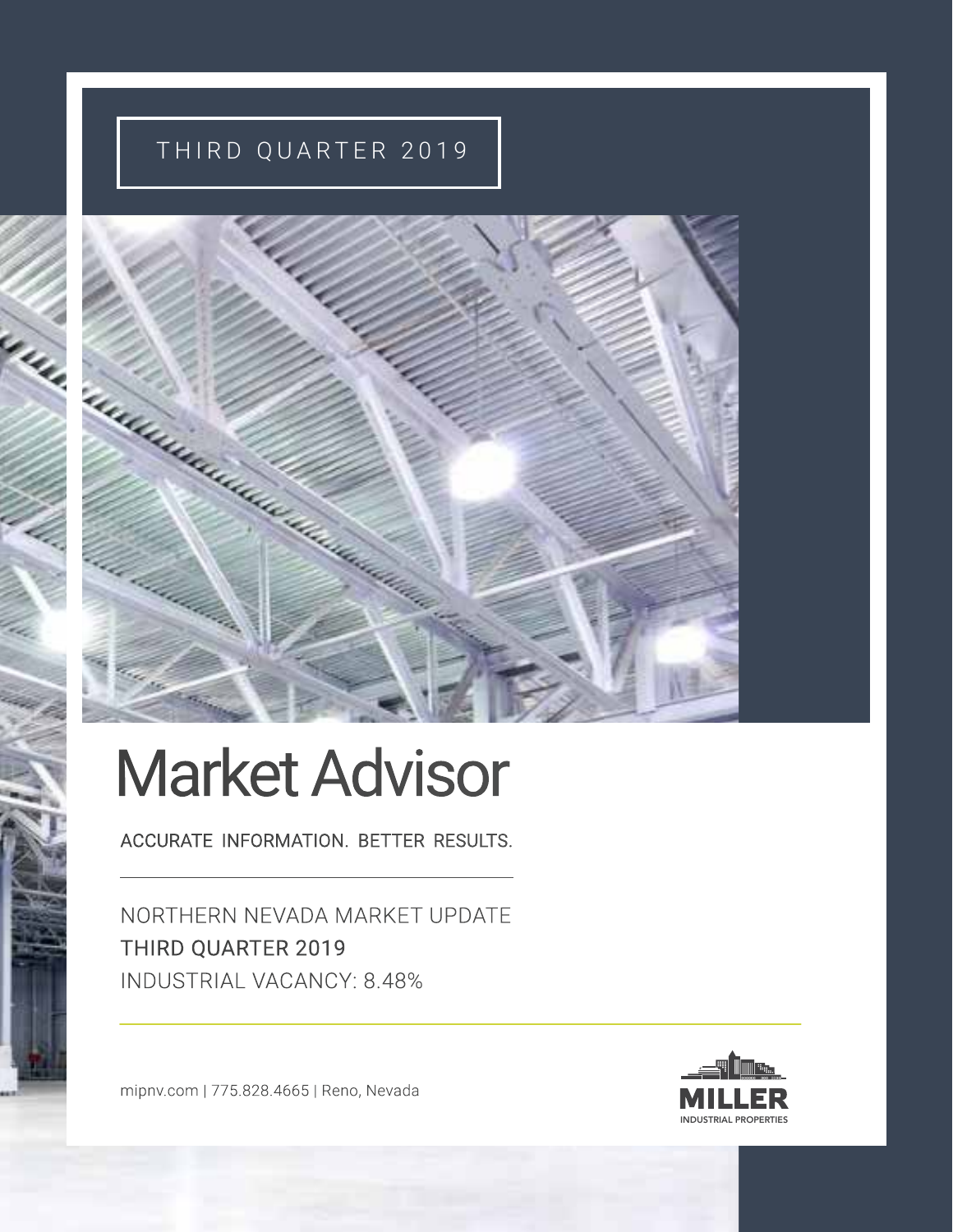## THIRD QUARTER 2019



# Market Advisor

ACCURATE INFORMATION. BETTER RESULTS.

NORTHERN NEVADA MARKET UPDATE THIRD QUARTER 2019 INDUSTRIAL VACANCY: 8.48%

mipnv.com | 775.828.4665 | Reno, Nevada

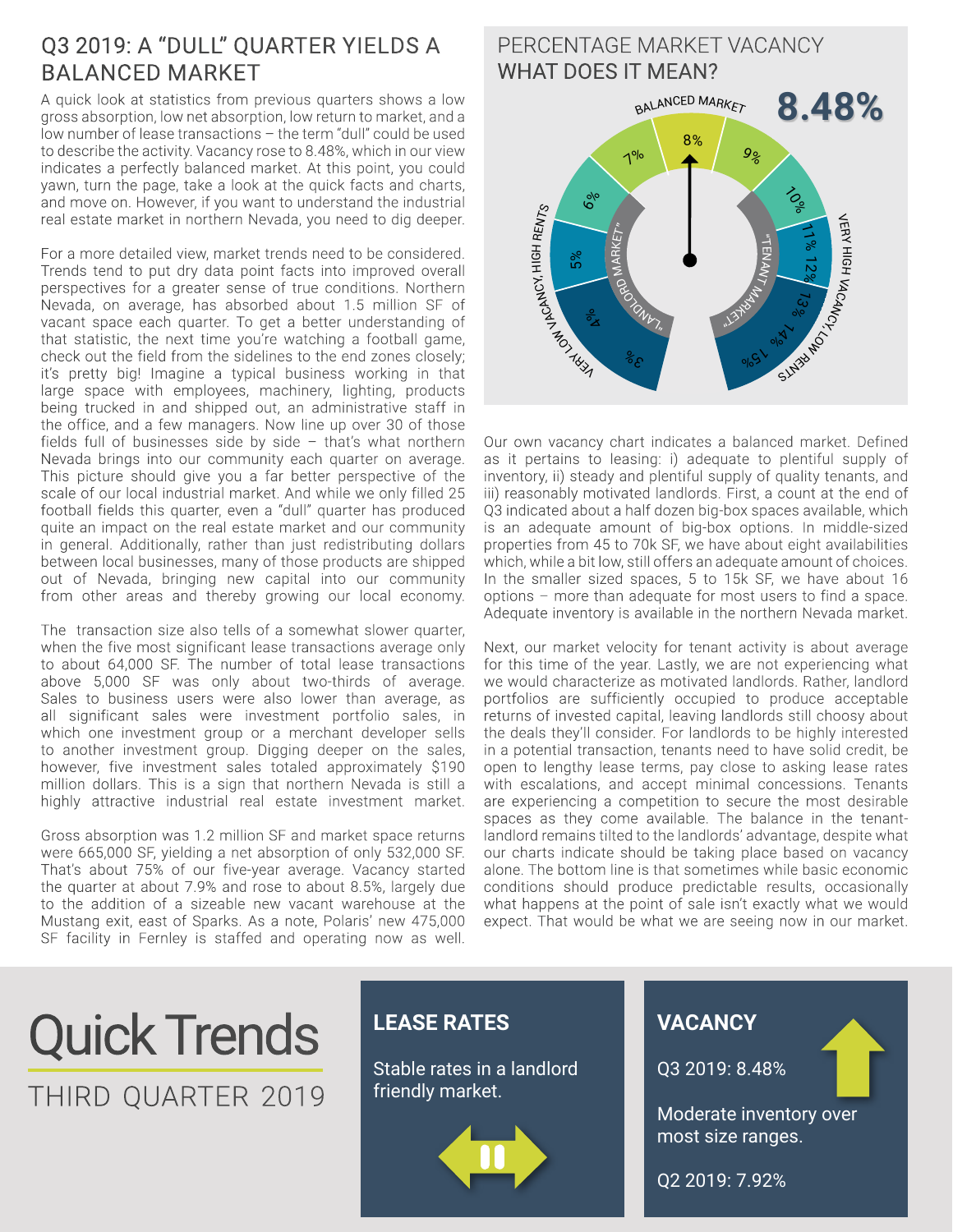## Q3 2019: A "DULL" QUARTER YIELDS A BALANCED MARKET

A quick look at statistics from previous quarters shows a low gross absorption, low net absorption, low return to market, and a low number of lease transactions – the term "dull" could be used to describe the activity. Vacancy rose to 8.48%, which in our view indicates a perfectly balanced market. At this point, you could yawn, turn the page, take a look at the quick facts and charts, and move on. However, if you want to understand the industrial real estate market in northern Nevada, you need to dig deeper.

For a more detailed view, market trends need to be considered. Trends tend to put dry data point facts into improved overall perspectives for a greater sense of true conditions. Northern Nevada, on average, has absorbed about 1.5 million SF of vacant space each quarter. To get a better understanding of that statistic, the next time you're watching a football game, check out the field from the sidelines to the end zones closely; it's pretty big! Imagine a typical business working in that large space with employees, machinery, lighting, products being trucked in and shipped out, an administrative staff in the office, and a few managers. Now line up over 30 of those fields full of businesses side by side – that's what northern Nevada brings into our community each quarter on average. This picture should give you a far better perspective of the scale of our local industrial market. And while we only filled 25 football fields this quarter, even a "dull" quarter has produced quite an impact on the real estate market and our community in general. Additionally, rather than just redistributing dollars between local businesses, many of those products are shipped out of Nevada, bringing new capital into our community from other areas and thereby growing our local economy.

The transaction size also tells of a somewhat slower quarter, when the five most significant lease transactions average only to about 64,000 SF. The number of total lease transactions above 5,000 SF was only about two-thirds of average. Sales to business users were also lower than average, as all significant sales were investment portfolio sales, in which one investment group or a merchant developer sells to another investment group. Digging deeper on the sales, however, five investment sales totaled approximately \$190 million dollars. This is a sign that northern Nevada is still a highly attractive industrial real estate investment market.

Gross absorption was 1.2 million SF and market space returns were 665,000 SF, yielding a net absorption of only 532,000 SF. That's about 75% of our five-year average. Vacancy started the quarter at about 7.9% and rose to about 8.5%, largely due to the addition of a sizeable new vacant warehouse at the Mustang exit, east of Sparks. As a note, Polaris' new 475,000 SF facility in Fernley is staffed and operating now as well.

#### PERCENTAGE MARKET VACANCY WHAT DOES IT MEAN? **8.48%** " $\overline{\phantom{a}}$ Ez  $\overline{\mathsf{X}}$ **MARKET**  $\gamma_{\nu_{\lambda_{n}}}$ Royo M ARKET" BALANCED MARKET **VERY VACANCY, HIGH RENTS** VERY HIGH VACANCY, SlM3bMO  $3^{\circ}$  $\frac{6}{9}$ 5 %  $6\%$  $7<sup>°</sup>$ 8%  $9<sub>8</sub>$  $\biggarrow{\delta_{\rm o}}$ 11% 12 % 13<sub>%</sub> 9/05 1 % 1

Our own vacancy chart indicates a balanced market. Defined as it pertains to leasing: i) adequate to plentiful supply of inventory, ii) steady and plentiful supply of quality tenants, and iii) reasonably motivated landlords. First, a count at the end of Q3 indicated about a half dozen big-box spaces available, which is an adequate amount of big-box options. In middle-sized properties from 45 to 70k SF, we have about eight availabilities which, while a bit low, still offers an adequate amount of choices. In the smaller sized spaces, 5 to 15k SF, we have about 16 options – more than adequate for most users to find a space. Adequate inventory is available in the northern Nevada market.

Next, our market velocity for tenant activity is about average for this time of the year. Lastly, we are not experiencing what we would characterize as motivated landlords. Rather, landlord portfolios are sufficiently occupied to produce acceptable returns of invested capital, leaving landlords still choosy about the deals they'll consider. For landlords to be highly interested in a potential transaction, tenants need to have solid credit, be open to lengthy lease terms, pay close to asking lease rates with escalations, and accept minimal concessions. Tenants are experiencing a competition to secure the most desirable spaces as they come available. The balance in the tenantlandlord remains tilted to the landlords' advantage, despite what our charts indicate should be taking place based on vacancy alone. The bottom line is that sometimes while basic economic conditions should produce predictable results, occasionally what happens at the point of sale isn't exactly what we would expect. That would be what we are seeing now in our market.

## Quick Trends THIRD QUARTER 2019

## **LEASE RATES**

Stable rates in a landlord friendly market.



## **VACANCY**

Q3 2019: 8.48%

Moderate inventory over most size ranges.

Q2 2019: 7.92%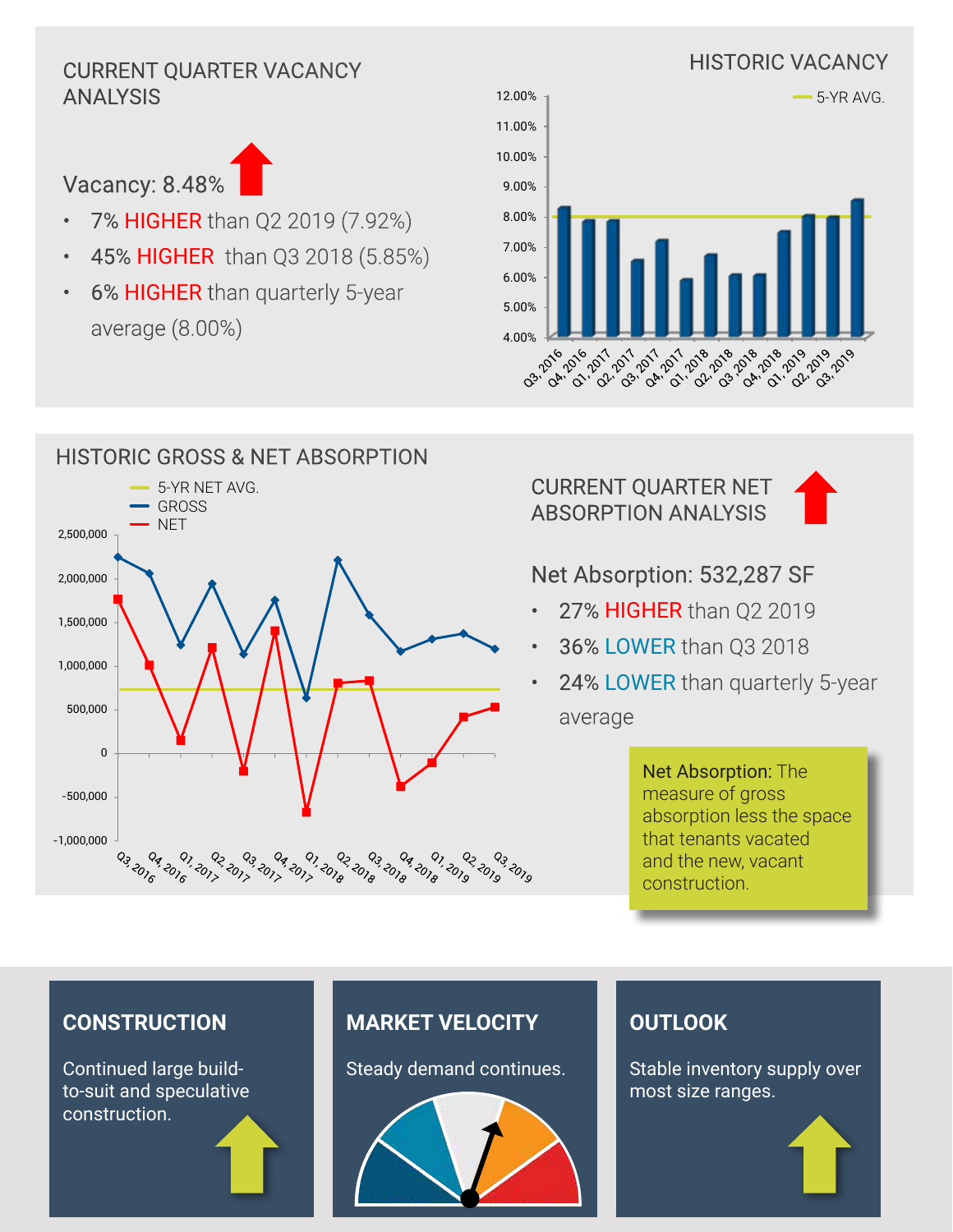## ANALYSIS



- 7% HIGHER than Q2 2019 (7.92%)
- 45% HIGHER than Q3 2018 (5.85%)
- 6% **HIGHER** than quarterly 5-year average (8.00%)



#### HISTORIC GROSS & NET ABSORPTION 5-YR NET AVG. GROSS **NET** 2,500,000 2,000,000 1,500,000 1,000,000 500,000 0 -500,000 -1,000,000 ם<br>ברום ברום<br>הקבור ברו 03.2016 04, 2016 91, 2017 22 2019<br>210<sup>5 201</sup>9 0<sub>3, 201</sup>9</sub> נם<br>ב<sup>193</sup> בנם ברים ברים<br>בנם ברים ברים ברים <sup>6</sup> دو<sub>ې</sub> <sup>9</sup>ړه وي <sup>9</sup>ړه وي <sup>9ړه</sup> ده

CURRENT QUARTER NET ABSORPTION ANALYSIS



## Net Absorption: 532,287 SF

- 27% HIGHER than Q2 2019
- 36% LOWER than Q3 2018
- 24% LOWER than quarterly 5-year average

Net Absorption: The measure of gross absorption less the space that tenants vacated and the new, vacant construction.

### **CONSTRUCTION**

Continued large buildto-suit and speculative construction.

## **MARKET VELOCITY**

Steady demand continues.



## **OUTLOOK**

Stable inventory supply over most size ranges.